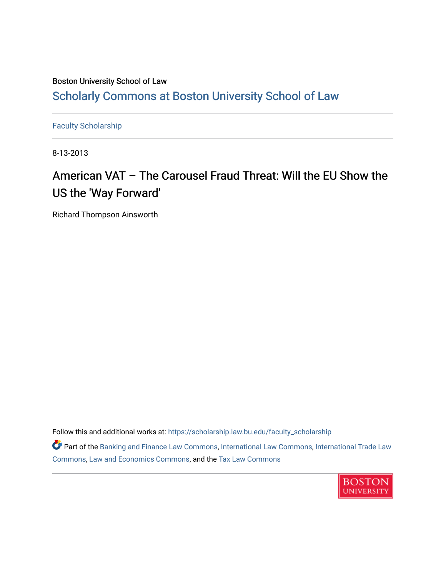### Boston University School of Law [Scholarly Commons at Boston University School of Law](https://scholarship.law.bu.edu/)

[Faculty Scholarship](https://scholarship.law.bu.edu/faculty_scholarship)

8-13-2013

## American VAT – The Carousel Fraud Threat: Will the EU Show the US the 'Way Forward'

Richard Thompson Ainsworth

Follow this and additional works at: [https://scholarship.law.bu.edu/faculty\\_scholarship](https://scholarship.law.bu.edu/faculty_scholarship?utm_source=scholarship.law.bu.edu%2Ffaculty_scholarship%2F1440&utm_medium=PDF&utm_campaign=PDFCoverPages)

Part of the [Banking and Finance Law Commons,](http://network.bepress.com/hgg/discipline/833?utm_source=scholarship.law.bu.edu%2Ffaculty_scholarship%2F1440&utm_medium=PDF&utm_campaign=PDFCoverPages) [International Law Commons,](http://network.bepress.com/hgg/discipline/609?utm_source=scholarship.law.bu.edu%2Ffaculty_scholarship%2F1440&utm_medium=PDF&utm_campaign=PDFCoverPages) [International Trade Law](http://network.bepress.com/hgg/discipline/848?utm_source=scholarship.law.bu.edu%2Ffaculty_scholarship%2F1440&utm_medium=PDF&utm_campaign=PDFCoverPages)  [Commons](http://network.bepress.com/hgg/discipline/848?utm_source=scholarship.law.bu.edu%2Ffaculty_scholarship%2F1440&utm_medium=PDF&utm_campaign=PDFCoverPages), [Law and Economics Commons](http://network.bepress.com/hgg/discipline/612?utm_source=scholarship.law.bu.edu%2Ffaculty_scholarship%2F1440&utm_medium=PDF&utm_campaign=PDFCoverPages), and the [Tax Law Commons](http://network.bepress.com/hgg/discipline/898?utm_source=scholarship.law.bu.edu%2Ffaculty_scholarship%2F1440&utm_medium=PDF&utm_campaign=PDFCoverPages) 

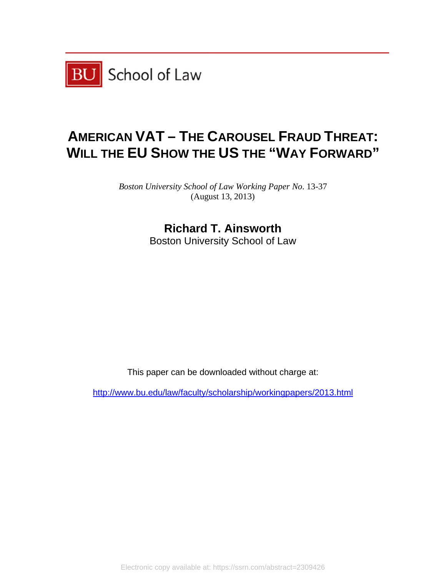

# **AMERICAN VAT – THE CAROUSEL FRAUD THREAT: WILL THE EU SHOW THE US THE "WAY FORWARD"**

Boston University School of Law Working Paper No. 13-37 (Aug gust 13, 2013 3)

## **R Richard T. Ainsw worth**  Boston University School of Law

This paper can be downloaded without cha w<br>arge at:

http://www.bu.edu/law/faculty/scholarship/workingpapers/2013.html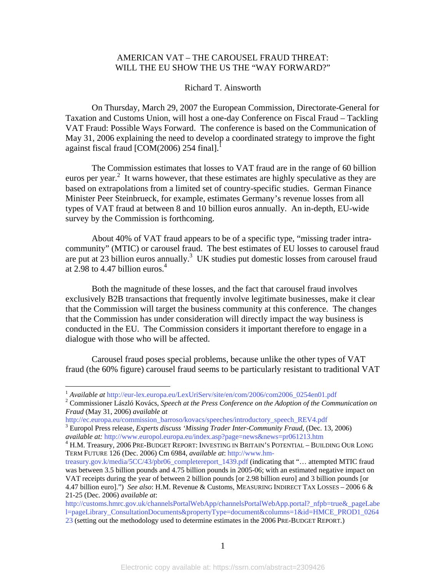#### AMERICAN VAT – THE CAROUSEL FRAUD THREAT: WILL THE EU SHOW THE US THE "WAY FORWARD?"

#### Richard T. Ainsworth

 On Thursday, March 29, 2007 the European Commission, Directorate-General for Taxation and Customs Union, will host a one-day Conference on Fiscal Fraud – Tackling VAT Fraud: Possible Ways Forward. The conference is based on the Communication of May 31, 2006 explaining the need to develop a coordinated strategy to improve the fight against fiscal fraud [COM(2006) 254 final].

The Commission estimates that losses to VAT fraud are in the range of 60 billion euros per year.<sup>2</sup> It warns however, that these estimates are highly speculative as they are based on extrapolations from a limited set of country-specific studies. German Finance Minister Peer Steinbrueck, for example, estimates Germany's revenue losses from all types of VAT fraud at between 8 and 10 billion euros annually. An in-depth, EU-wide survey by the Commission is forthcoming.

About 40% of VAT fraud appears to be of a specific type, "missing trader intracommunity" (MTIC) or carousel fraud. The best estimates of EU losses to carousel fraud are put at  $23$  billion euros annually.<sup>3</sup> UK studies put domestic losses from carousel fraud at 2.98 to 4.47 billion euros.<sup>4</sup>

 Both the magnitude of these losses, and the fact that carousel fraud involves exclusively B2B transactions that frequently involve legitimate businesses, make it clear that the Commission will target the business community at this conference. The changes that the Commission has under consideration will directly impact the way business is conducted in the EU. The Commission considers it important therefore to engage in a dialogue with those who will be affected.

 Carousel fraud poses special problems, because unlike the other types of VAT fraud (the 60% figure) carousel fraud seems to be particularly resistant to traditional VAT

 $\overline{a}$ 

<sup>&</sup>lt;sup>1</sup> Available at http://eur-lex.europa.eu/LexUriServ/site/en/com/2006/com2006\_0254en01.pdf

Commissioner László Kovács, *Speech at the Press Conference on the Adoption of the Communication on Fraud* (May 31, 2006) *available at*

http://ec.europa.eu/commission\_barroso/kovacs/speeches/introductory\_speech\_REV4.pdf 3

Europol Press release, *Experts discuss 'Missing Trader Inter-Community Fraud*, (Dec. 13, 2006) *available at:* http://www.europol.europa.eu/index.asp?page=news&news=pr061213.htm 4

<sup>&</sup>lt;sup>4</sup> H.M. Treasury, 2006 Pre-BUDGET REPORT: INVESTING IN BRITAIN'S POTENTIAL – BUILDING OUR LONG TERM FUTURE 126 (Dec. 2006) Cm 6984, *available at*: http://www.hm-

treasury.gov.k/media/5CC/43/pbr06\_completereport\_1439.pdf (indicating that "… attempted MTIC fraud was between 3.5 billion pounds and 4.75 billion pounds in 2005-06; with an estimated negative impact on VAT receipts during the year of between 2 billion pounds [or 2.98 billion euro] and 3 billion pounds [or 4.47 billion euro].") *See also*: H.M. Revenue & Customs, MEASURING INDIRECT TAX LOSSES – 2006 6 & 21-25 (Dec. 2006) *available at*:

http://customs.hmrc.gov.uk/channelsPortalWebApp/channelsPortalWebApp.portal? nfpb=true& pageLabe l=pageLibrary\_ConsultationDocuments&propertyType=document&columns=1&id=HMCE\_PROD1\_0264 23 (setting out the methodology used to determine estimates in the 2006 PRE-BUDGET REPORT.)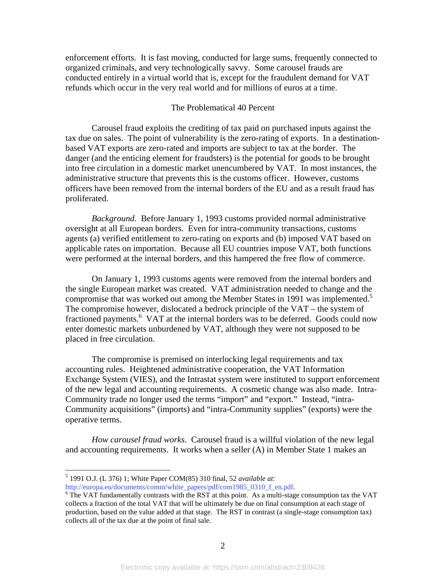enforcement efforts. It is fast moving, conducted for large sums, frequently connected to organized criminals, and very technologically savvy. Some carousel frauds are conducted entirely in a virtual world that is, except for the fraudulent demand for VAT refunds which occur in the very real world and for millions of euros at a time.

#### The Problematical 40 Percent

Carousel fraud exploits the crediting of tax paid on purchased inputs against the tax due on sales. The point of vulnerability is the zero-rating of exports. In a destinationbased VAT exports are zero-rated and imports are subject to tax at the border. The danger (and the enticing element for fraudsters) is the potential for goods to be brought into free circulation in a domestic market unencumbered by VAT. In most instances, the administrative structure that prevents this is the customs officer. However, customs officers have been removed from the internal borders of the EU and as a result fraud has proliferated.

*Background.* Before January 1, 1993 customs provided normal administrative oversight at all European borders. Even for intra-community transactions, customs agents (a) verified entitlement to zero-rating on exports and (b) imposed VAT based on applicable rates on importation. Because all EU countries impose VAT, both functions were performed at the internal borders, and this hampered the free flow of commerce.

On January 1, 1993 customs agents were removed from the internal borders and the single European market was created. VAT administration needed to change and the compromise that was worked out among the Member States in 1991 was implemented.<sup>5</sup> The compromise however, dislocated a bedrock principle of the VAT – the system of fractioned payments.<sup>6</sup> VAT at the internal borders was to be deferred. Goods could now enter domestic markets unburdened by VAT, although they were not supposed to be placed in free circulation.

The compromise is premised on interlocking legal requirements and tax accounting rules. Heightened administrative cooperation, the VAT Information Exchange System (VIES), and the Intrastat system were instituted to support enforcement of the new legal and accounting requirements. A cosmetic change was also made. Intra-Community trade no longer used the terms "import" and "export." Instead, "intra-Community acquisitions" (imports) and "intra-Community supplies" (exports) were the operative terms.

*How carousel fraud works*. Carousel fraud is a willful violation of the new legal and accounting requirements. It works when a seller (A) in Member State 1 makes an

 $\overline{a}$ 

<sup>5</sup> 1991 O.J. (L 376) 1; White Paper COM(85) 310 final, 52 *available at*: http://europa.eu/documents/comm/white\_papers/pdf/com1985\_0310\_f\_en.pdf.

 $6$  The VAT fundamentally contrasts with the RST at this point. As a multi-stage consumption tax the VAT collects a fraction of the total VAT that will be ultimately be due on final consumption at each stage of production, based on the value added at that stage. The RST in contrast (a single-stage consumption tax) collects all of the tax due at the point of final sale.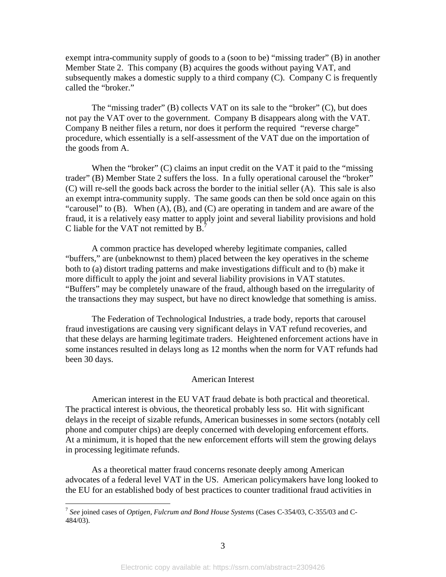exempt intra-community supply of goods to a (soon to be) "missing trader" (B) in another Member State 2. This company (B) acquires the goods without paying VAT, and subsequently makes a domestic supply to a third company (C). Company C is frequently called the "broker."

The "missing trader" (B) collects VAT on its sale to the "broker" (C), but does not pay the VAT over to the government. Company B disappears along with the VAT. Company B neither files a return, nor does it perform the required "reverse charge" procedure, which essentially is a self-assessment of the VAT due on the importation of the goods from A.

When the "broker" (C) claims an input credit on the VAT it paid to the "missing trader" (B) Member State 2 suffers the loss. In a fully operational carousel the "broker" (C) will re-sell the goods back across the border to the initial seller (A). This sale is also an exempt intra-community supply. The same goods can then be sold once again on this "carousel" to  $(B)$ . When  $(A)$ ,  $(B)$ , and  $(C)$  are operating in tandem and are aware of the fraud, it is a relatively easy matter to apply joint and several liability provisions and hold C liable for the VAT not remitted by B.<sup>7</sup>

A common practice has developed whereby legitimate companies, called "buffers," are (unbeknownst to them) placed between the key operatives in the scheme both to (a) distort trading patterns and make investigations difficult and to (b) make it more difficult to apply the joint and several liability provisions in VAT statutes. "Buffers" may be completely unaware of the fraud, although based on the irregularity of the transactions they may suspect, but have no direct knowledge that something is amiss.

The Federation of Technological Industries, a trade body, reports that carousel fraud investigations are causing very significant delays in VAT refund recoveries, and that these delays are harming legitimate traders. Heightened enforcement actions have in some instances resulted in delays long as 12 months when the norm for VAT refunds had been 30 days.

#### American Interest

 American interest in the EU VAT fraud debate is both practical and theoretical. The practical interest is obvious, the theoretical probably less so. Hit with significant delays in the receipt of sizable refunds, American businesses in some sectors (notably cell phone and computer chips) are deeply concerned with developing enforcement efforts. At a minimum, it is hoped that the new enforcement efforts will stem the growing delays in processing legitimate refunds.

As a theoretical matter fraud concerns resonate deeply among American advocates of a federal level VAT in the US. American policymakers have long looked to the EU for an established body of best practices to counter traditional fraud activities in

 $\overline{a}$ 

<sup>7</sup> *See* joined cases of *Optigen, Fulcrum and Bond House Systems* (Cases C-354/03, C-355/03 and C-484/03).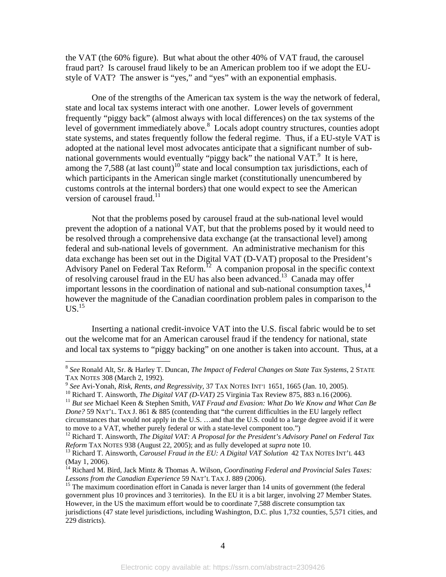the VAT (the 60% figure). But what about the other 40% of VAT fraud, the carousel fraud part? Is carousel fraud likely to be an American problem too if we adopt the EUstyle of VAT? The answer is "yes," and "yes" with an exponential emphasis.

One of the strengths of the American tax system is the way the network of federal, state and local tax systems interact with one another. Lower levels of government frequently "piggy back" (almost always with local differences) on the tax systems of the level of government immediately above.<sup>8</sup> Locals adopt country structures, counties adopt state systems, and states frequently follow the federal regime. Thus, if a EU-style VAT is adopted at the national level most advocates anticipate that a significant number of subnational governments would eventually "piggy back" the national VAT.<sup>9</sup> It is here, among the 7,588 (at last count)<sup>10</sup> state and local consumption tax jurisdictions, each of which participants in the American single market (constitutionally unencumbered by customs controls at the internal borders) that one would expect to see the American version of carousel fraud.<sup>11</sup>

Not that the problems posed by carousel fraud at the sub-national level would prevent the adoption of a national VAT, but that the problems posed by it would need to be resolved through a comprehensive data exchange (at the transactional level) among federal and sub-national levels of government. An administrative mechanism for this data exchange has been set out in the Digital VAT (D-VAT) proposal to the President's Advisory Panel on Federal Tax Reform.<sup>12</sup> A companion proposal in the specific context of resolving carousel fraud in the EU has also been advanced.<sup>13</sup> Canada may offer important lessons in the coordination of national and sub-national consumption taxes, $^{14}$ however the magnitude of the Canadian coordination problem pales in comparison to the  $US.<sup>15</sup>$ 

Inserting a national credit-invoice VAT into the U.S. fiscal fabric would be to set out the welcome mat for an American carousel fraud if the tendency for national, state and local tax systems to "piggy backing" on one another is taken into account. Thus, at a

1

<sup>8</sup> *See* Ronald Alt, Sr. & Harley T. Duncan, *The Impact of Federal Changes on State Tax Systems*, 2 STATE

<sup>&</sup>lt;sup>9</sup> See Avi-Yonah, *Risk, Rents, and Regressivity,* 37 TAX NOTES INT<sup>1</sup> 1651, 1665 (Jan. 10, 2005).<br><sup>10</sup> Richard T. Ainsworth, *The Digital VAT* (*D-VAT*) 25 Virginia Tax Review 875, 883 n.16 (2006).<br><sup>11</sup> But see Michael *Done?* 59 NAT'L. TAX J. 861 & 885 (contending that "the current difficulties in the EU largely reflect circumstances that would not apply in the U.S. …and that the U.S. could to a large degree avoid if it were to move to a VAT, whether purely federal or with a state-level component too.")

<sup>&</sup>lt;sup>12</sup> Richard T. Ainsworth, *The Digital VAT: A Proposal for the President's Advisory Panel on Federal Tax Reform TAX NOTES 938 (August 22, 2005); and as fully developed at <i>supra* note 10.

<sup>&</sup>lt;sup>13</sup> Richard T. Ainsworth, *Carousel Fraud in the EU: A Digital VAT Solution* 42 TAX NOTES INT'L 443 (May 1, 2006).

<sup>14</sup> Richard M. Bird, Jack Mintz & Thomas A. Wilson, *Coordinating Federal and Provincial Sales Taxes: Lessons from the Canadian Experience* 59 NAT'L TAX J. 889 (2006).<br><sup>15</sup> The maximum coordination effort in Canada is never larger than 14 units of government (the federal

government plus 10 provinces and 3 territories). In the EU it is a bit larger, involving 27 Member States. However, in the US the maximum effort would be to coordinate 7,588 discrete consumption tax jurisdictions (47 state level jurisdictions, including Washington, D.C. plus 1,732 counties, 5,571 cities, and 229 districts).